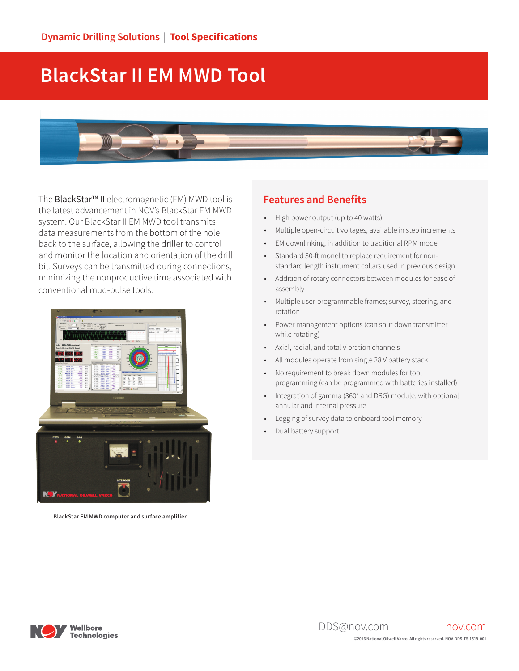# **BlackStar II EM MWD Tool**



The BlackStar™ II electromagnetic (EM) MWD tool is the latest advancement in NOV's BlackStar EM MWD system. Our BlackStar II EM MWD tool transmits data measurements from the bottom of the hole back to the surface, allowing the driller to control and monitor the location and orientation of the drill bit. Surveys can be transmitted during connections, minimizing the nonproductive time associated with conventional mud-pulse tools.



**BlackStar EM MWD computer and surface amplifier**

#### **Features and Benefits**

- High power output (up to 40 watts)
- Multiple open-circuit voltages, available in step increments
- EM downlinking, in addition to traditional RPM mode
- Standard 30-ft monel to replace requirement for nonstandard length instrument collars used in previous design
- Addition of rotary connectors between modules for ease of assembly
- Multiple user-programmable frames; survey, steering, and rotation
- Power management options (can shut down transmitter while rotating)
- Axial, radial, and total vibration channels
- All modules operate from single 28 V battery stack
- No requirement to break down modules for tool programming (can be programmed with batteries installed)
- Integration of gamma (360° and DRG) module, with optional annular and Internal pressure
- Logging of survey data to onboard tool memory
- Dual battery support

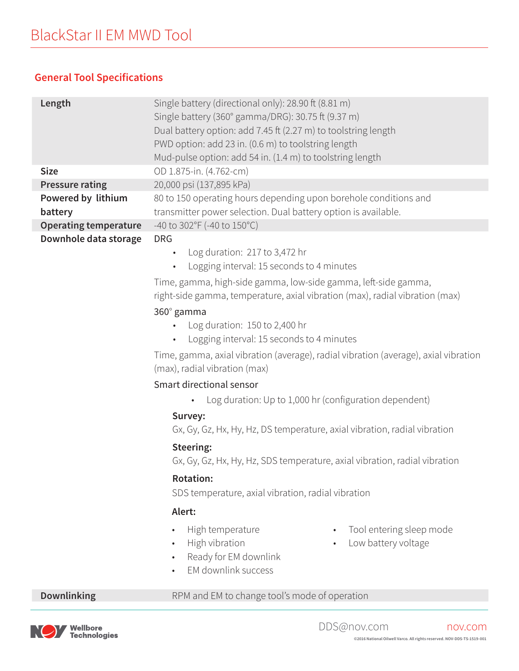## **General Tool Specifications**

| Length                       | Single battery (directional only): 28.90 ft (8.81 m)                                                                                           |  |  |
|------------------------------|------------------------------------------------------------------------------------------------------------------------------------------------|--|--|
|                              | Single battery (360° gamma/DRG): 30.75 ft (9.37 m)                                                                                             |  |  |
|                              | Dual battery option: add 7.45 ft (2.27 m) to toolstring length                                                                                 |  |  |
|                              | PWD option: add 23 in. (0.6 m) to toolstring length                                                                                            |  |  |
|                              | Mud-pulse option: add 54 in. (1.4 m) to toolstring length                                                                                      |  |  |
| <b>Size</b>                  | OD 1.875-in. (4.762-cm)                                                                                                                        |  |  |
| <b>Pressure rating</b>       | 20,000 psi (137,895 kPa)                                                                                                                       |  |  |
| Powered by lithium           | 80 to 150 operating hours depending upon borehole conditions and                                                                               |  |  |
| battery                      | transmitter power selection. Dual battery option is available.                                                                                 |  |  |
| <b>Operating temperature</b> | -40 to 302°F (-40 to 150°C)                                                                                                                    |  |  |
| Downhole data storage        | <b>DRG</b>                                                                                                                                     |  |  |
|                              | Log duration: 217 to 3,472 hr                                                                                                                  |  |  |
|                              | Logging interval: 15 seconds to 4 minutes                                                                                                      |  |  |
|                              | Time, gamma, high-side gamma, low-side gamma, left-side gamma,                                                                                 |  |  |
|                              | right-side gamma, temperature, axial vibration (max), radial vibration (max)                                                                   |  |  |
|                              | 360° gamma                                                                                                                                     |  |  |
|                              | Log duration: 150 to 2,400 hr<br>$\bullet$                                                                                                     |  |  |
|                              | Logging interval: 15 seconds to 4 minutes<br>$\bullet$                                                                                         |  |  |
|                              | Time, gamma, axial vibration (average), radial vibration (average), axial vibration                                                            |  |  |
|                              | (max), radial vibration (max)                                                                                                                  |  |  |
|                              | Smart directional sensor                                                                                                                       |  |  |
|                              | Log duration: Up to 1,000 hr (configuration dependent)<br>Survey:<br>Gx, Gy, Gz, Hx, Hy, Hz, DS temperature, axial vibration, radial vibration |  |  |
|                              |                                                                                                                                                |  |  |
|                              |                                                                                                                                                |  |  |
|                              | Steering:                                                                                                                                      |  |  |
|                              | Gx, Gy, Gz, Hx, Hy, Hz, SDS temperature, axial vibration, radial vibration<br><b>Rotation:</b>                                                 |  |  |
|                              |                                                                                                                                                |  |  |
|                              | SDS temperature, axial vibration, radial vibration                                                                                             |  |  |
|                              | Alert:                                                                                                                                         |  |  |
|                              | High temperature<br>Tool entering sleep mode<br>$\bullet$                                                                                      |  |  |
|                              | High vibration<br>Low battery voltage<br>$\bullet$                                                                                             |  |  |
|                              | Ready for EM downlink                                                                                                                          |  |  |
|                              | EM downlink success                                                                                                                            |  |  |
| <b>Downlinking</b>           | RPM and EM to change tool's mode of operation                                                                                                  |  |  |
|                              |                                                                                                                                                |  |  |

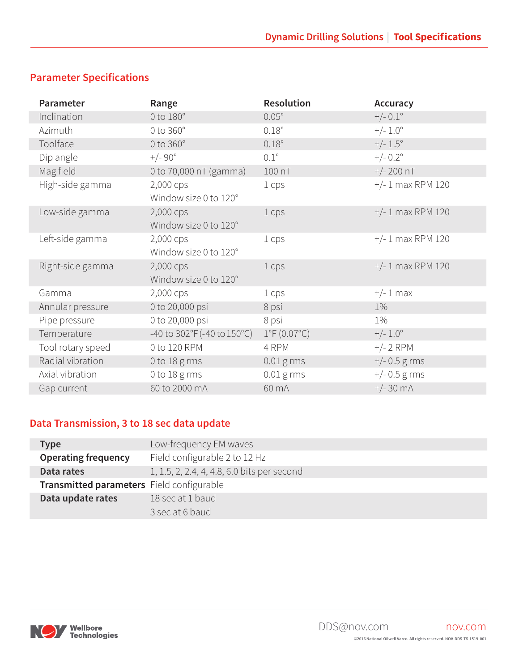## **Parameter Specifications**

| Parameter         | Range                                               | <b>Resolution</b>           | Accuracy            |
|-------------------|-----------------------------------------------------|-----------------------------|---------------------|
| Inclination       | $0$ to $180^\circ$                                  | $0.05^\circ$                | $+/- 0.1^{\circ}$   |
| Azimuth           | $0$ to $360^\circ$                                  | $0.18^\circ$                | $+/- 1.0^{\circ}$   |
| Toolface          | 0 to 360°                                           | $0.18^\circ$                | $+/- 1.5^{\circ}$   |
| Dip angle         | $+/-90^{\circ}$                                     | $0.1^\circ$                 | $+/- 0.2^{\circ}$   |
| Mag field         | 0 to 70,000 nT (gamma)                              | 100 nT                      | $+/- 200$ nT        |
| High-side gamma   | 2,000 cps                                           | 1 cps                       | $+/- 1$ max RPM 120 |
|                   | Window size 0 to 120°                               |                             |                     |
| Low-side gamma    | 2,000 cps                                           | 1 cps                       | $+/- 1$ max RPM 120 |
|                   | Window size 0 to 120°                               |                             |                     |
| Left-side gamma   | 2,000 cps                                           | 1 cps                       | $+/- 1$ max RPM 120 |
|                   | Window size 0 to 120°                               |                             |                     |
| Right-side gamma  | 2,000 cps                                           | 1 cps                       | $+/- 1$ max RPM 120 |
|                   | Window size 0 to 120°                               |                             |                     |
| Gamma             | 2,000 cps                                           | 1 cps                       | $+/- 1$ max         |
| Annular pressure  | 0 to 20,000 psi                                     | 8 psi                       | $1\%$               |
| Pipe pressure     | 0 to 20,000 psi                                     | 8 psi                       | $1\%$               |
| Temperature       | -40 to $302^{\circ}F(-40 \text{ to } 150^{\circ}C)$ | $1^{\circ}F(0.07^{\circ}C)$ | $+/- 1.0^{\circ}$   |
| Tool rotary speed | 0 to 120 RPM                                        | 4 RPM                       | $+/- 2$ RPM         |
| Radial vibration  | 0 to 18 g rms                                       | $0.01$ g rms                | $+/- 0.5$ g rms     |
| Axial vibration   | 0 to $18 \text{ g}$ rms                             | $0.01$ g rms                | $+/- 0.5$ g rms     |
| Gap current       | 60 to 2000 mA                                       | 60 mA                       | $+/- 30 \text{ mA}$ |

## **Data Transmission, 3 to 18 sec data update**

| <b>Type</b>                               | Low-frequency EM waves                      |
|-------------------------------------------|---------------------------------------------|
| <b>Operating frequency</b>                | Field configurable 2 to 12 Hz               |
| Data rates                                | 1, 1.5, 2, 2.4, 4, 4.8, 6.0 bits per second |
| Transmitted parameters Field configurable |                                             |
| Data update rates                         | 18 sec at 1 baud                            |
|                                           | 3 sec at 6 baud                             |